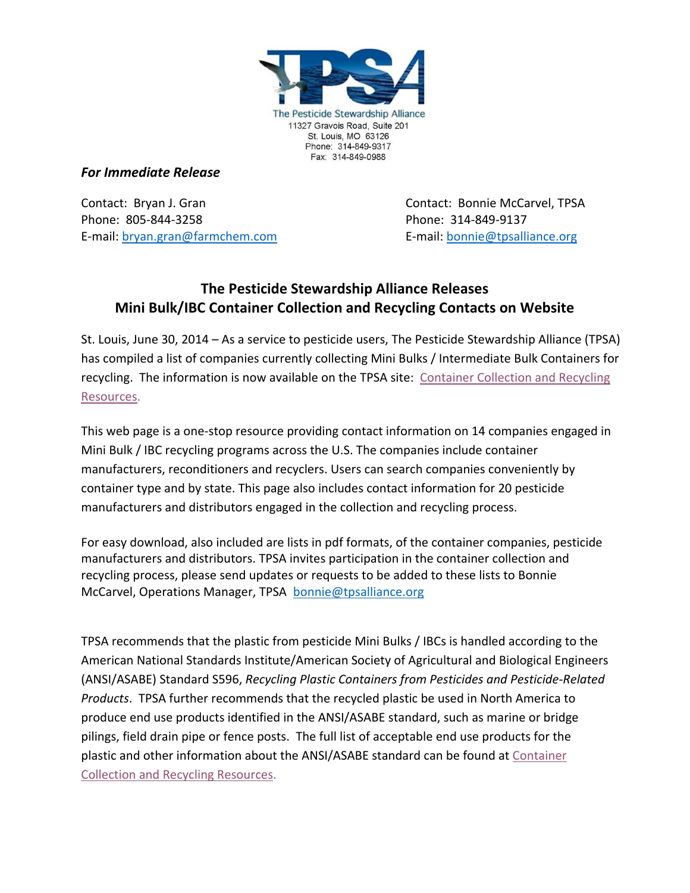

## *For Immediate Release*

Contact: Bryan J. Gran Contact: Bonnie McCarvel, TPSA Phone: 805-844-3258 Phone: 314-849-9137 E-mail: [bryan.gran@farmchem.com](mailto:bryan.gran@farmchem.com) E-mail: [bonnie@tpsalliance.org](mailto:bonnie@tpsalliance.org)

## **The Pesticide Stewardship Alliance Releases Mini Bulk/IBC Container Collection and Recycling Contacts on Website**

St. Louis, June 30, 2014 – As a service to pesticide users, The Pesticide Stewardship Alliance (TPSA) has compiled a list of companies currently collecting Mini Bulks / Intermediate Bulk Containers for recycling. The information is now available on the TPSA site: Container Collection and Recycling [Resources.](http://tpsalliance.org/index.php?id=209)

This web page is a one-stop resource providing contact information on 14 companies engaged in Mini Bulk / IBC recycling programs across the U.S. The companies include container manufacturers, reconditioners and recyclers. Users can search companies conveniently by container type and by state. This page also includes contact information for 20 pesticide manufacturers and distributors engaged in the collection and recycling process.

For easy download, also included are lists in pdf formats, of the container companies, pesticide manufacturers and distributors. TPSA invites participation in the container collection and recycling process, please send updates or requests to be added to these lists to Bonnie McCarvel, Operations Manager, TPSA [bonnie@tpsalliance.org](mailto:bonnie@tpsalliance.org)

TPSA recommends that the plastic from pesticide Mini Bulks / IBCs is handled according to the American National Standards Institute/American Society of Agricultural and Biological Engineers (ANSI/ASABE) Standard S596, *Recycling Plastic Containers from Pesticides and Pesticide-Related Products*. TPSA further recommends that the recycled plastic be used in North America to produce end use products identified in the ANSI/ASABE standard, such as marine or bridge pilings, field drain pipe or fence posts. The full list of acceptable end use products for the plastic and other information about the ANSI/ASABE standard can be found at [Container](http://tpsalliance.org/index.php?id=209)  [Collection and Recycling Resources.](http://tpsalliance.org/index.php?id=209)